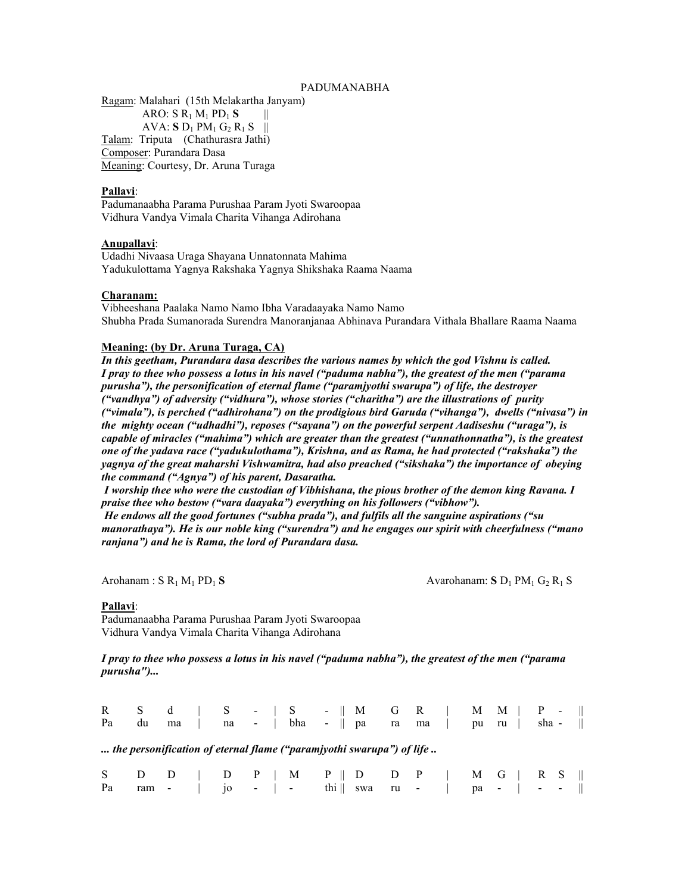### PADUMANABHA

Ragam: Malahari (15th Melakartha Janyam) ARO: S R1 M1 PD1 **S** ||  $AVA: S D_1 PM_1 G_2 R_1 S$  || Talam: Triputa (Chathurasra Jathi) Composer: Purandara Dasa Meaning: Courtesy, Dr. Aruna Turaga

#### **Pallavi**:

Padumanaabha Parama Purushaa Param Jyoti Swaroopaa Vidhura Vandya Vimala Charita Vihanga Adirohana

#### **Anupallavi**:

Udadhi Nivaasa Uraga Shayana Unnatonnata Mahima Yadukulottama Yagnya Rakshaka Yagnya Shikshaka Raama Naama

## **Charanam:**

Vibheeshana Paalaka Namo Namo Ibha Varadaayaka Namo Namo Shubha Prada Sumanorada Surendra Manoranjanaa Abhinava Purandara Vithala Bhallare Raama Naama

### **Meaning: (by Dr. Aruna Turaga, CA)**

*In this geetham, Purandara dasa describes the various names by which the god Vishnu is called. I pray to thee who possess a lotus in his navel ("paduma nabha"), the greatest of the men ("parama purusha"), the personification of eternal flame ("paramjyothi swarupa") of life, the destroyer ("vandhya") of adversity ("vidhura"), whose stories ("charitha") are the illustrations of purity ("vimala"), is perched ("adhirohana") on the prodigious bird Garuda ("vihanga"), dwells ("nivasa") in the mighty ocean ("udhadhi"), reposes ("sayana") on the powerful serpent Aadiseshu ("uraga"), is capable of miracles ("mahima") which are greater than the greatest ("unnathonnatha"), is the greatest one of the yadava race ("yadukulothama"), Krishna, and as Rama, he had protected ("rakshaka") the yagnya of the great maharshi Vishwamitra, had also preached ("sikshaka") the importance of obeying the command ("Agnya") of his parent, Dasaratha.* 

 *I worship thee who were the custodian of Vibhishana, the pious brother of the demon king Ravana. I praise thee who bestow ("vara daayaka") everything on his followers ("vibhow"). He endows all the good fortunes ("subha prada"), and fulfils all the sanguine aspirations ("su manorathaya"). He is our noble king ("surendra") and he engages our spirit with cheerfulness ("mano ranjana") and he is Rama, the lord of Purandara dasa.* 

Arohanam : S R<sub>1</sub> M<sub>1</sub> PD<sub>1</sub> S Avarohanam: S D<sub>1</sub> PM<sub>1</sub> G<sub>2</sub> R<sub>1</sub> S

#### **Pallavi**:

Padumanaabha Parama Purushaa Param Jyoti Swaroopaa Vidhura Vandya Vimala Charita Vihanga Adirohana

*I pray to thee who possess a lotus in his navel ("paduma nabha"), the greatest of the men ("parama purusha")...* 

| Pa | du |  |  |  | R S d   S -   S -    M G R    M M    P -   <br>ma   na -   bha -    pa ra ma   pu ru   sha - |  |  |  |  |  |
|----|----|--|--|--|----------------------------------------------------------------------------------------------|--|--|--|--|--|
|    |    |  |  |  | the personification of eternal flame ("paramjyothi swarupa") of life                         |  |  |  |  |  |
|    |    |  |  |  | S $D$ $D$   $D$ P   M P    $D$ D P   M G   R S                                               |  |  |  |  |  |
| Pa |    |  |  |  | ram -   jo -   - thi    swa ru -   pa -   - -                                                |  |  |  |  |  |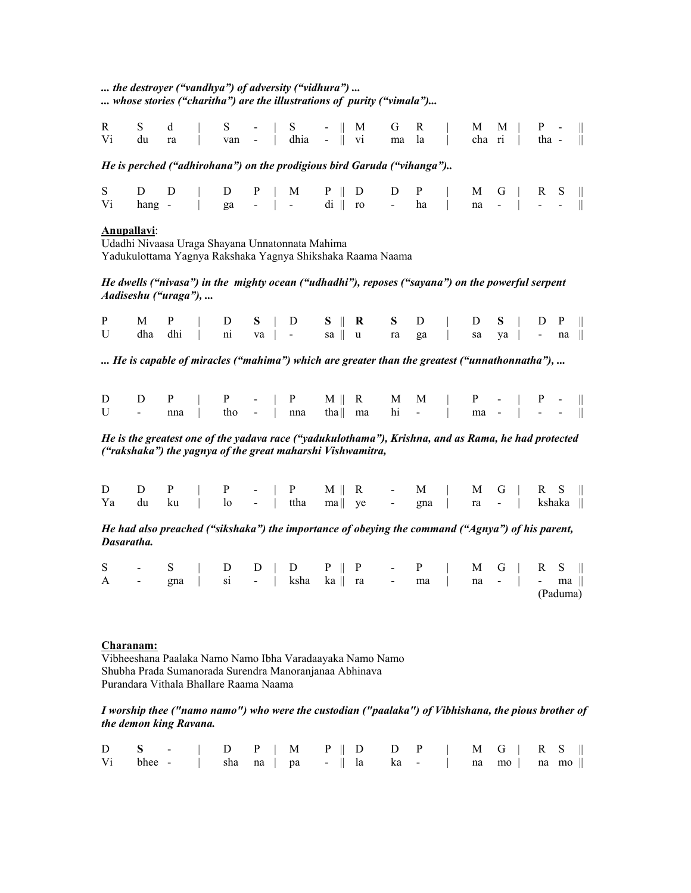*... the destroyer ("vandhya") of adversity ("vidhura") ... ... whose stories ("charitha") are the illustrations of purity ("vimala")...* 

|    |  |  |  |  | R S d   S -   S -    M G R    M M    P -   <br>Vi du ra $\vert$ van - $\vert$ dhia - $\vert$ vi ma la $\vert$ cha ri $\vert$ tha - $\vert$ |  |  |  |  |  |
|----|--|--|--|--|--------------------------------------------------------------------------------------------------------------------------------------------|--|--|--|--|--|
|    |  |  |  |  | He is perched ("adhirohana") on the prodigious bird Garuda ("vihanga")                                                                     |  |  |  |  |  |
| Vi |  |  |  |  | S $D$ $D$   $D$ $P$   $M$ $P$    $D$ $D$ $P$   $M$ $G$   $R$ S   <br>hang -   ga -   - di    ro - ha   na -   - -                          |  |  |  |  |  |

# **Anupallavi**:

Udadhi Nivaasa Uraga Shayana Unnatonnata Mahima Yadukulottama Yagnya Rakshaka Yagnya Shikshaka Raama Naama

*He dwells ("nivasa") in the mighty ocean ("udhadhi"), reposes ("sayana") on the powerful serpent Aadiseshu ("uraga"), ...*

|  |  |  |  |  |  | P M P   D S   D S    R S D   D S   D P             |  |
|--|--|--|--|--|--|----------------------------------------------------|--|
|  |  |  |  |  |  | U dha dhi   ni va   - sa    u ra ga   sa ya   - na |  |

*... He is capable of miracles ("mahima") which are greater than the greatest ("unnathonnatha"), ...* 

|  | $D$ $D$ $P$   $P$ -   $P$ $M$    $R$ $M$ $M$    $P$ -    $P$ - |  |  |  |  |  |  |  |
|--|----------------------------------------------------------------|--|--|--|--|--|--|--|
|  | U - nna   tho -   nna tha   ma hi -   ma -   - -               |  |  |  |  |  |  |  |

*He is the greatest one of the yadava race ("yadukulothama"), Krishna, and as Rama, he had protected ("rakshaka") the yagnya of the great maharshi Vishwamitra,* 

|  | $D$ $D$ $P$   $P$ -   $P$ $M \parallel R$ - $M$   $M$ $G$   $R$ S                          |  |  |  |  |  |  |  |  |
|--|--------------------------------------------------------------------------------------------|--|--|--|--|--|--|--|--|
|  | Ya du ku $\vert$ lo - $\vert$ ttha ma $\vert$ ye - gna $\vert$ ra - $\vert$ kshaka $\vert$ |  |  |  |  |  |  |  |  |

*He had also preached ("sikshaka") the importance of obeying the command ("Agnya") of his parent, Dasaratha.* 

|  |  |  | S - S   D D   D P    P - P   M G   R S              |  |  |  |          |  |
|--|--|--|-----------------------------------------------------|--|--|--|----------|--|
|  |  |  | A - gna   si -   ksha ka    ra - ma    na -    - ma |  |  |  |          |  |
|  |  |  |                                                     |  |  |  | (Paduma) |  |

# **Charanam:**

Vibheeshana Paalaka Namo Namo Ibha Varadaayaka Namo Namo Shubha Prada Sumanorada Surendra Manoranjanaa Abhinava Purandara Vithala Bhallare Raama Naama

### *I worship thee ("namo namo") who were the custodian ("paalaka") of Vibhishana, the pious brother of the demon king Ravana.*

|  |  |  |  |  |  | $D$ S -   D P   M P    D D P   M G   R S               |  |  |
|--|--|--|--|--|--|--------------------------------------------------------|--|--|
|  |  |  |  |  |  | Vi bhee -   sha na   pa -    la ka -    na mo    na mo |  |  |